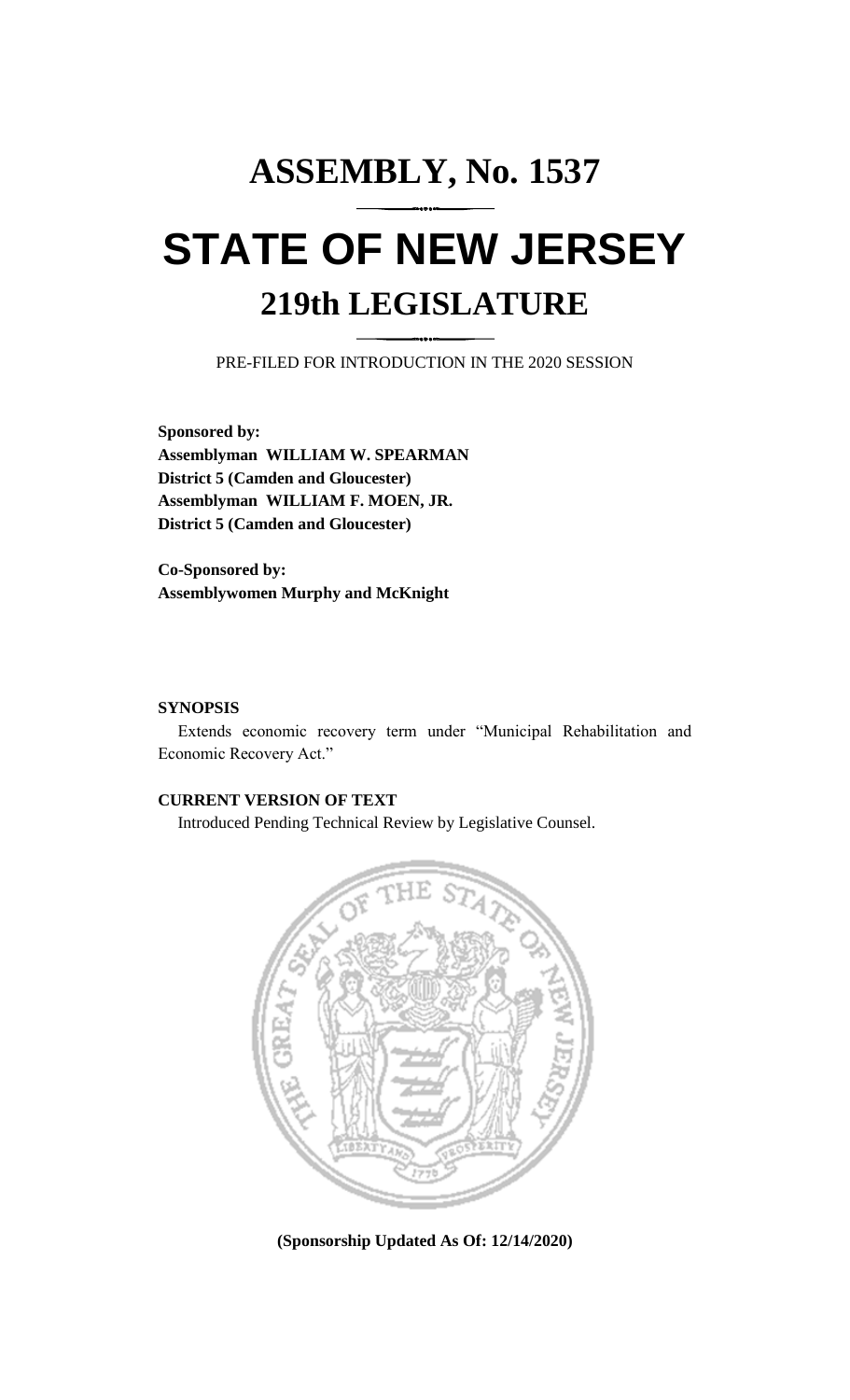# **ASSEMBLY, No. 1537 STATE OF NEW JERSEY 219th LEGISLATURE**

PRE-FILED FOR INTRODUCTION IN THE 2020 SESSION

**Sponsored by: Assemblyman WILLIAM W. SPEARMAN District 5 (Camden and Gloucester) Assemblyman WILLIAM F. MOEN, JR. District 5 (Camden and Gloucester)**

**Co-Sponsored by: Assemblywomen Murphy and McKnight**

### **SYNOPSIS**

Extends economic recovery term under "Municipal Rehabilitation and Economic Recovery Act."

## **CURRENT VERSION OF TEXT**

Introduced Pending Technical Review by Legislative Counsel.



**(Sponsorship Updated As Of: 12/14/2020)**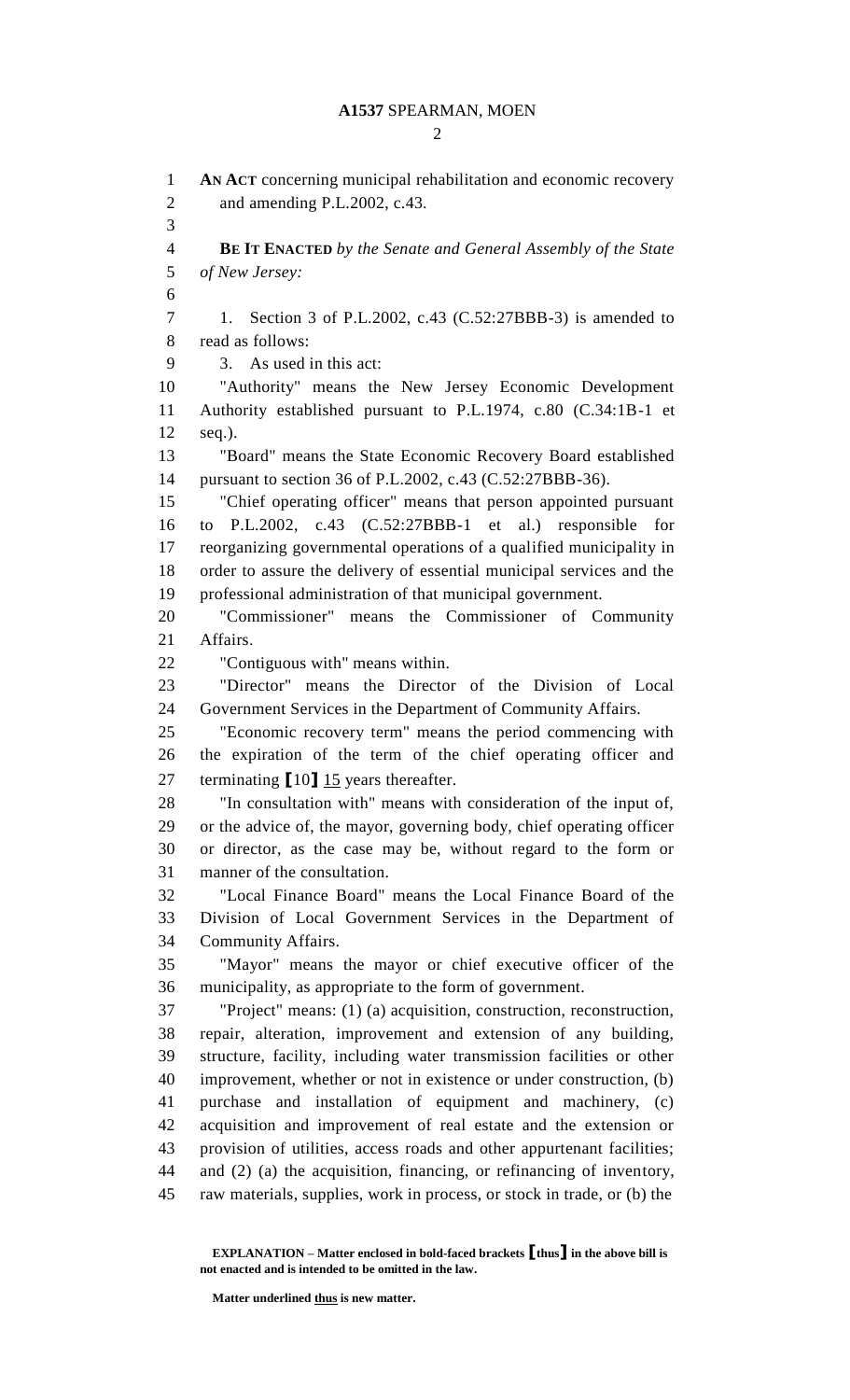$\mathcal{D}_{\mathcal{L}}$ 

 **AN ACT** concerning municipal rehabilitation and economic recovery and amending P.L.2002, c.43. **BE IT ENACTED** *by the Senate and General Assembly of the State of New Jersey:* 1. Section 3 of P.L.2002, c.43 (C.52:27BBB-3) is amended to read as follows: 3. As used in this act: "Authority" means the New Jersey Economic Development Authority established pursuant to P.L.1974, c.80 (C.34:1B-1 et seq.). "Board" means the State Economic Recovery Board established pursuant to section 36 of P.L.2002, c.43 (C.52:27BBB-36). "Chief operating officer" means that person appointed pursuant to P.L.2002, c.43 (C.52:27BBB-1 et al.) responsible for reorganizing governmental operations of a qualified municipality in order to assure the delivery of essential municipal services and the professional administration of that municipal government. "Commissioner" means the Commissioner of Community Affairs. "Contiguous with" means within. "Director" means the Director of the Division of Local Government Services in the Department of Community Affairs. "Economic recovery term" means the period commencing with the expiration of the term of the chief operating officer and terminating **[**10**]** 15 years thereafter. "In consultation with" means with consideration of the input of, or the advice of, the mayor, governing body, chief operating officer or director, as the case may be, without regard to the form or manner of the consultation. "Local Finance Board" means the Local Finance Board of the Division of Local Government Services in the Department of Community Affairs. "Mayor" means the mayor or chief executive officer of the municipality, as appropriate to the form of government. "Project" means: (1) (a) acquisition, construction, reconstruction, repair, alteration, improvement and extension of any building, structure, facility, including water transmission facilities or other improvement, whether or not in existence or under construction, (b) purchase and installation of equipment and machinery, (c) acquisition and improvement of real estate and the extension or provision of utilities, access roads and other appurtenant facilities; and (2) (a) the acquisition, financing, or refinancing of inventory, raw materials, supplies, work in process, or stock in trade, or (b) the

**EXPLANATION – Matter enclosed in bold-faced brackets [thus] in the above bill is not enacted and is intended to be omitted in the law.**

**Matter underlined thus is new matter.**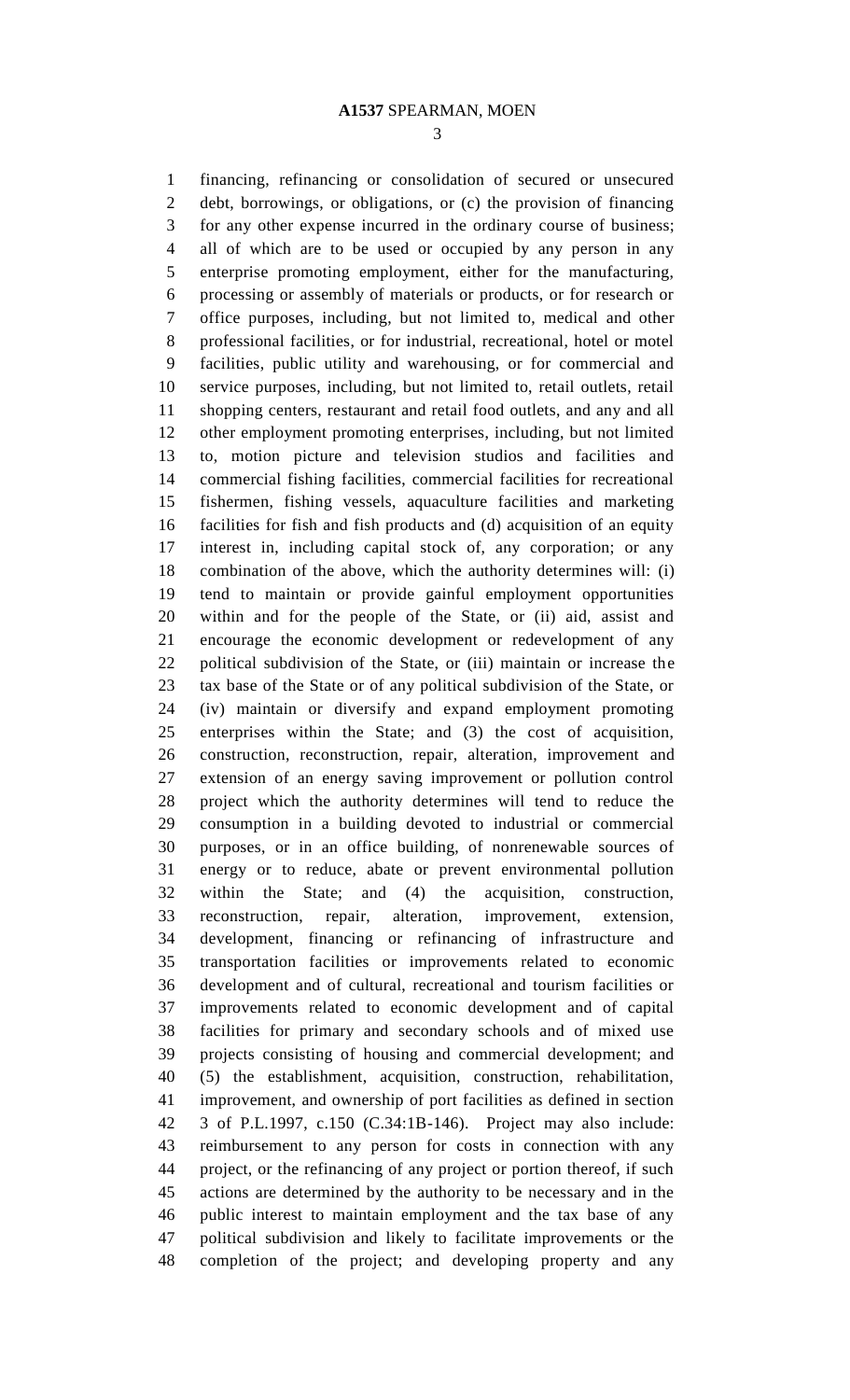financing, refinancing or consolidation of secured or unsecured debt, borrowings, or obligations, or (c) the provision of financing for any other expense incurred in the ordinary course of business; all of which are to be used or occupied by any person in any enterprise promoting employment, either for the manufacturing, processing or assembly of materials or products, or for research or office purposes, including, but not limited to, medical and other professional facilities, or for industrial, recreational, hotel or motel facilities, public utility and warehousing, or for commercial and service purposes, including, but not limited to, retail outlets, retail shopping centers, restaurant and retail food outlets, and any and all other employment promoting enterprises, including, but not limited to, motion picture and television studios and facilities and commercial fishing facilities, commercial facilities for recreational fishermen, fishing vessels, aquaculture facilities and marketing facilities for fish and fish products and (d) acquisition of an equity interest in, including capital stock of, any corporation; or any combination of the above, which the authority determines will: (i) tend to maintain or provide gainful employment opportunities within and for the people of the State, or (ii) aid, assist and encourage the economic development or redevelopment of any political subdivision of the State, or (iii) maintain or increase the tax base of the State or of any political subdivision of the State, or (iv) maintain or diversify and expand employment promoting enterprises within the State; and (3) the cost of acquisition, construction, reconstruction, repair, alteration, improvement and extension of an energy saving improvement or pollution control project which the authority determines will tend to reduce the consumption in a building devoted to industrial or commercial purposes, or in an office building, of nonrenewable sources of energy or to reduce, abate or prevent environmental pollution within the State; and (4) the acquisition, construction, reconstruction, repair, alteration, improvement, extension, development, financing or refinancing of infrastructure and transportation facilities or improvements related to economic development and of cultural, recreational and tourism facilities or improvements related to economic development and of capital facilities for primary and secondary schools and of mixed use projects consisting of housing and commercial development; and (5) the establishment, acquisition, construction, rehabilitation, improvement, and ownership of port facilities as defined in section 3 of P.L.1997, c.150 (C.34:1B-146). Project may also include: reimbursement to any person for costs in connection with any project, or the refinancing of any project or portion thereof, if such actions are determined by the authority to be necessary and in the public interest to maintain employment and the tax base of any political subdivision and likely to facilitate improvements or the completion of the project; and developing property and any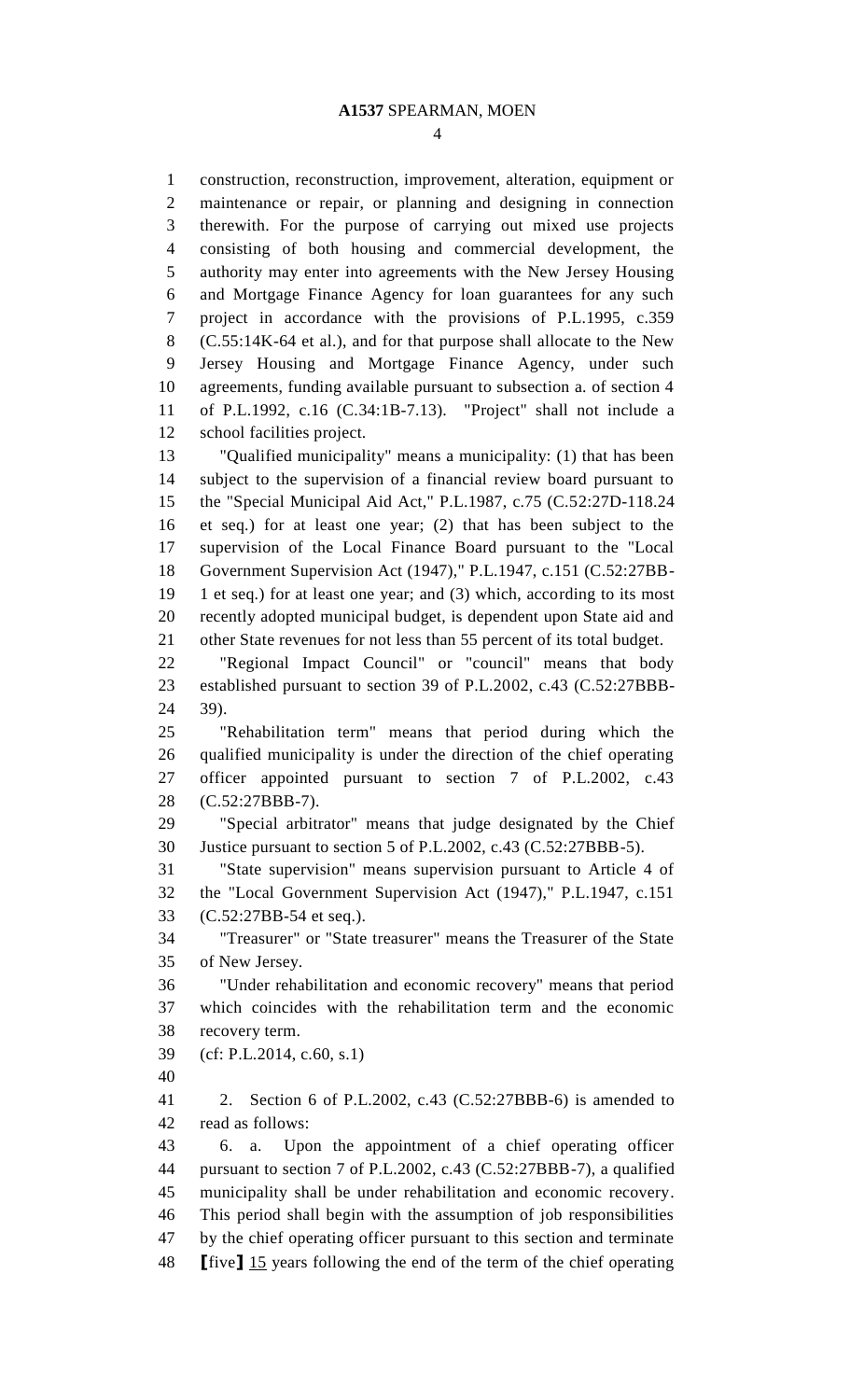construction, reconstruction, improvement, alteration, equipment or maintenance or repair, or planning and designing in connection therewith. For the purpose of carrying out mixed use projects consisting of both housing and commercial development, the authority may enter into agreements with the New Jersey Housing and Mortgage Finance Agency for loan guarantees for any such project in accordance with the provisions of P.L.1995, c.359 (C.55:14K-64 et al.), and for that purpose shall allocate to the New Jersey Housing and Mortgage Finance Agency, under such agreements, funding available pursuant to subsection a. of section 4 of P.L.1992, c.16 (C.34:1B-7.13). "Project" shall not include a school facilities project. "Qualified municipality" means a municipality: (1) that has been subject to the supervision of a financial review board pursuant to the "Special Municipal Aid Act," P.L.1987, c.75 (C.52:27D-118.24 et seq.) for at least one year; (2) that has been subject to the supervision of the Local Finance Board pursuant to the "Local Government Supervision Act (1947)," P.L.1947, c.151 (C.52:27BB- 1 et seq.) for at least one year; and (3) which, according to its most recently adopted municipal budget, is dependent upon State aid and other State revenues for not less than 55 percent of its total budget. "Regional Impact Council" or "council" means that body established pursuant to section 39 of P.L.2002, c.43 (C.52:27BBB- 39). "Rehabilitation term" means that period during which the qualified municipality is under the direction of the chief operating officer appointed pursuant to section 7 of P.L.2002, c.43 (C.52:27BBB-7). "Special arbitrator" means that judge designated by the Chief Justice pursuant to section 5 of P.L.2002, c.43 (C.52:27BBB-5). "State supervision" means supervision pursuant to Article 4 of the "Local Government Supervision Act (1947)," P.L.1947, c.151 (C.52:27BB-54 et seq.). "Treasurer" or "State treasurer" means the Treasurer of the State of New Jersey. "Under rehabilitation and economic recovery" means that period which coincides with the rehabilitation term and the economic recovery term. (cf: P.L.2014, c.60, s.1) 2. Section 6 of P.L.2002, c.43 (C.52:27BBB-6) is amended to read as follows:

 6. a. Upon the appointment of a chief operating officer pursuant to section 7 of P.L.2002, c.43 (C.52:27BBB-7), a qualified municipality shall be under rehabilitation and economic recovery. This period shall begin with the assumption of job responsibilities by the chief operating officer pursuant to this section and terminate **[**five**]** 15 years following the end of the term of the chief operating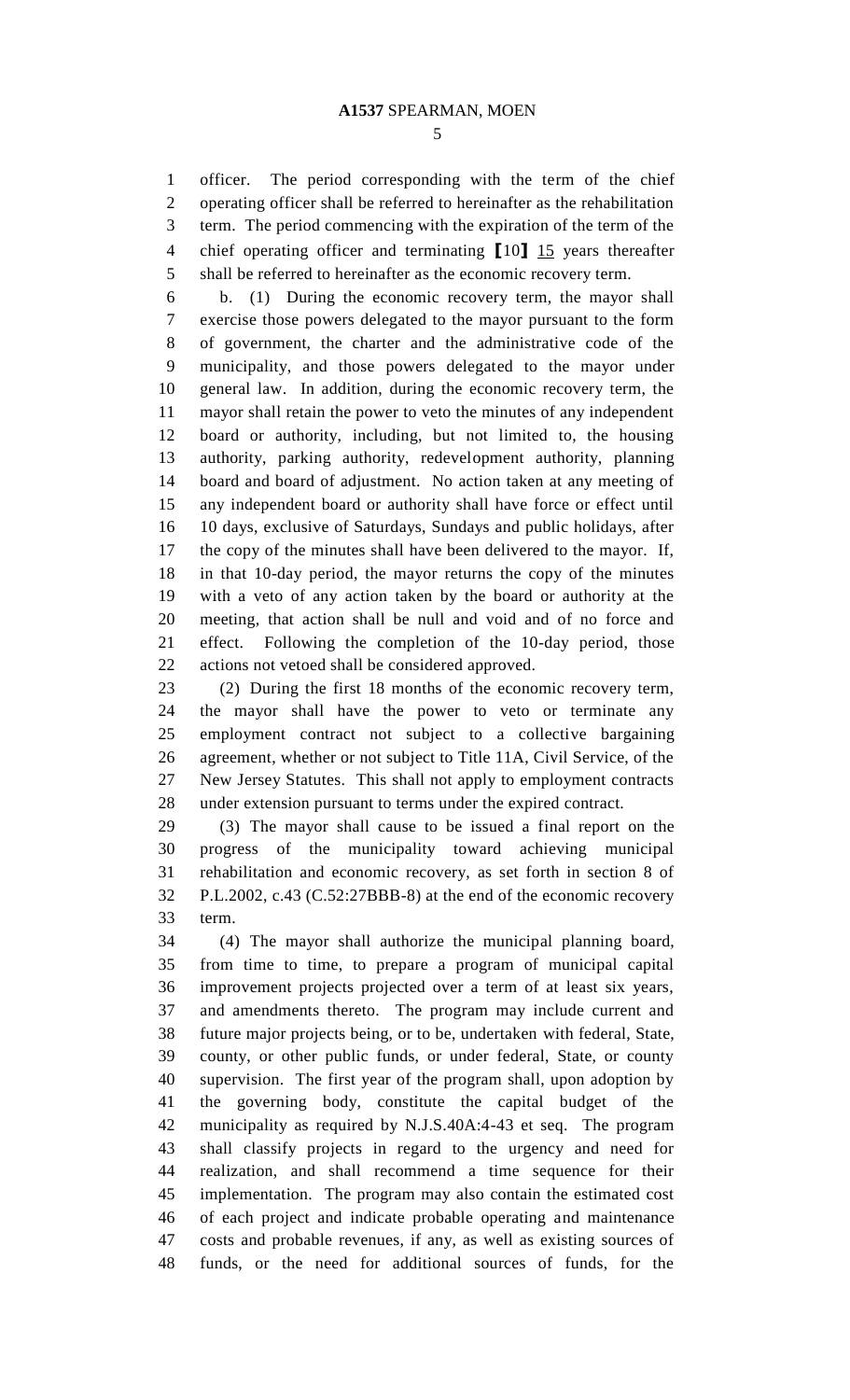officer. The period corresponding with the term of the chief operating officer shall be referred to hereinafter as the rehabilitation term. The period commencing with the expiration of the term of the chief operating officer and terminating **[**10**]** 15 years thereafter shall be referred to hereinafter as the economic recovery term.

 b. (1) During the economic recovery term, the mayor shall exercise those powers delegated to the mayor pursuant to the form of government, the charter and the administrative code of the municipality, and those powers delegated to the mayor under general law. In addition, during the economic recovery term, the mayor shall retain the power to veto the minutes of any independent board or authority, including, but not limited to, the housing authority, parking authority, redevelopment authority, planning board and board of adjustment. No action taken at any meeting of any independent board or authority shall have force or effect until 10 days, exclusive of Saturdays, Sundays and public holidays, after the copy of the minutes shall have been delivered to the mayor. If, in that 10-day period, the mayor returns the copy of the minutes with a veto of any action taken by the board or authority at the meeting, that action shall be null and void and of no force and effect. Following the completion of the 10-day period, those actions not vetoed shall be considered approved.

 (2) During the first 18 months of the economic recovery term, the mayor shall have the power to veto or terminate any employment contract not subject to a collective bargaining agreement, whether or not subject to Title 11A, Civil Service, of the New Jersey Statutes. This shall not apply to employment contracts under extension pursuant to terms under the expired contract.

 (3) The mayor shall cause to be issued a final report on the progress of the municipality toward achieving municipal rehabilitation and economic recovery, as set forth in section 8 of P.L.2002, c.43 (C.52:27BBB-8) at the end of the economic recovery term.

 (4) The mayor shall authorize the municipal planning board, from time to time, to prepare a program of municipal capital improvement projects projected over a term of at least six years, and amendments thereto. The program may include current and future major projects being, or to be, undertaken with federal, State, county, or other public funds, or under federal, State, or county supervision. The first year of the program shall, upon adoption by the governing body, constitute the capital budget of the municipality as required by N.J.S.40A:4-43 et seq. The program shall classify projects in regard to the urgency and need for realization, and shall recommend a time sequence for their implementation. The program may also contain the estimated cost of each project and indicate probable operating and maintenance costs and probable revenues, if any, as well as existing sources of funds, or the need for additional sources of funds, for the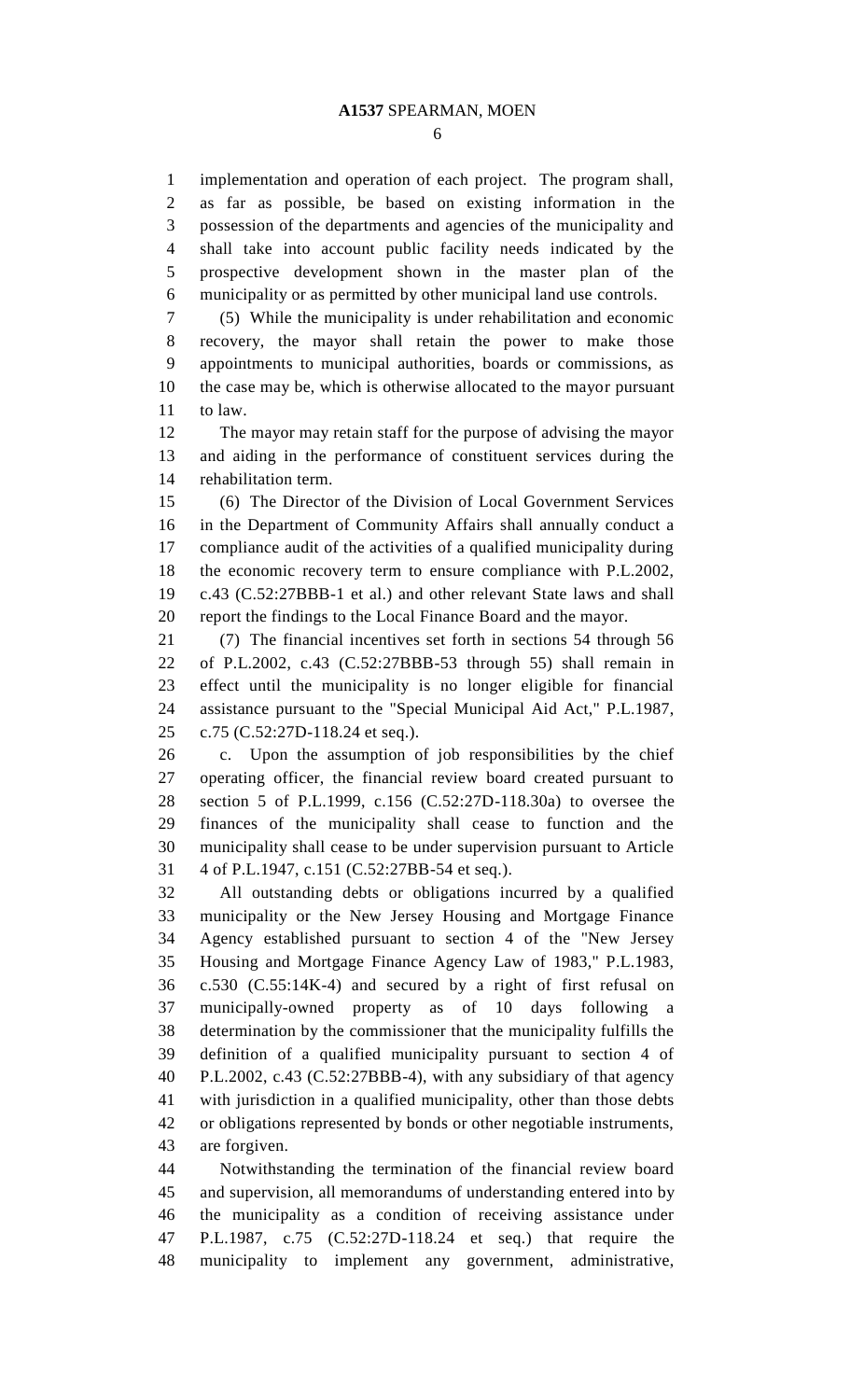implementation and operation of each project. The program shall, as far as possible, be based on existing information in the possession of the departments and agencies of the municipality and shall take into account public facility needs indicated by the prospective development shown in the master plan of the municipality or as permitted by other municipal land use controls.

 (5) While the municipality is under rehabilitation and economic recovery, the mayor shall retain the power to make those appointments to municipal authorities, boards or commissions, as the case may be, which is otherwise allocated to the mayor pursuant to law.

 The mayor may retain staff for the purpose of advising the mayor and aiding in the performance of constituent services during the rehabilitation term.

 (6) The Director of the Division of Local Government Services in the Department of Community Affairs shall annually conduct a compliance audit of the activities of a qualified municipality during the economic recovery term to ensure compliance with P.L.2002, c.43 (C.52:27BBB-1 et al.) and other relevant State laws and shall report the findings to the Local Finance Board and the mayor.

 (7) The financial incentives set forth in sections 54 through 56 of P.L.2002, c.43 (C.52:27BBB-53 through 55) shall remain in effect until the municipality is no longer eligible for financial assistance pursuant to the "Special Municipal Aid Act," P.L.1987, c.75 (C.52:27D-118.24 et seq.).

 c. Upon the assumption of job responsibilities by the chief operating officer, the financial review board created pursuant to section 5 of P.L.1999, c.156 (C.52:27D-118.30a) to oversee the finances of the municipality shall cease to function and the municipality shall cease to be under supervision pursuant to Article 4 of P.L.1947, c.151 (C.52:27BB-54 et seq.).

 All outstanding debts or obligations incurred by a qualified municipality or the New Jersey Housing and Mortgage Finance Agency established pursuant to section 4 of the "New Jersey Housing and Mortgage Finance Agency Law of 1983," P.L.1983, c.530 (C.55:14K-4) and secured by a right of first refusal on municipally-owned property as of 10 days following a determination by the commissioner that the municipality fulfills the definition of a qualified municipality pursuant to section 4 of P.L.2002, c.43 (C.52:27BBB-4), with any subsidiary of that agency with jurisdiction in a qualified municipality, other than those debts or obligations represented by bonds or other negotiable instruments, are forgiven.

 Notwithstanding the termination of the financial review board and supervision, all memorandums of understanding entered into by the municipality as a condition of receiving assistance under P.L.1987, c.75 (C.52:27D-118.24 et seq.) that require the municipality to implement any government, administrative,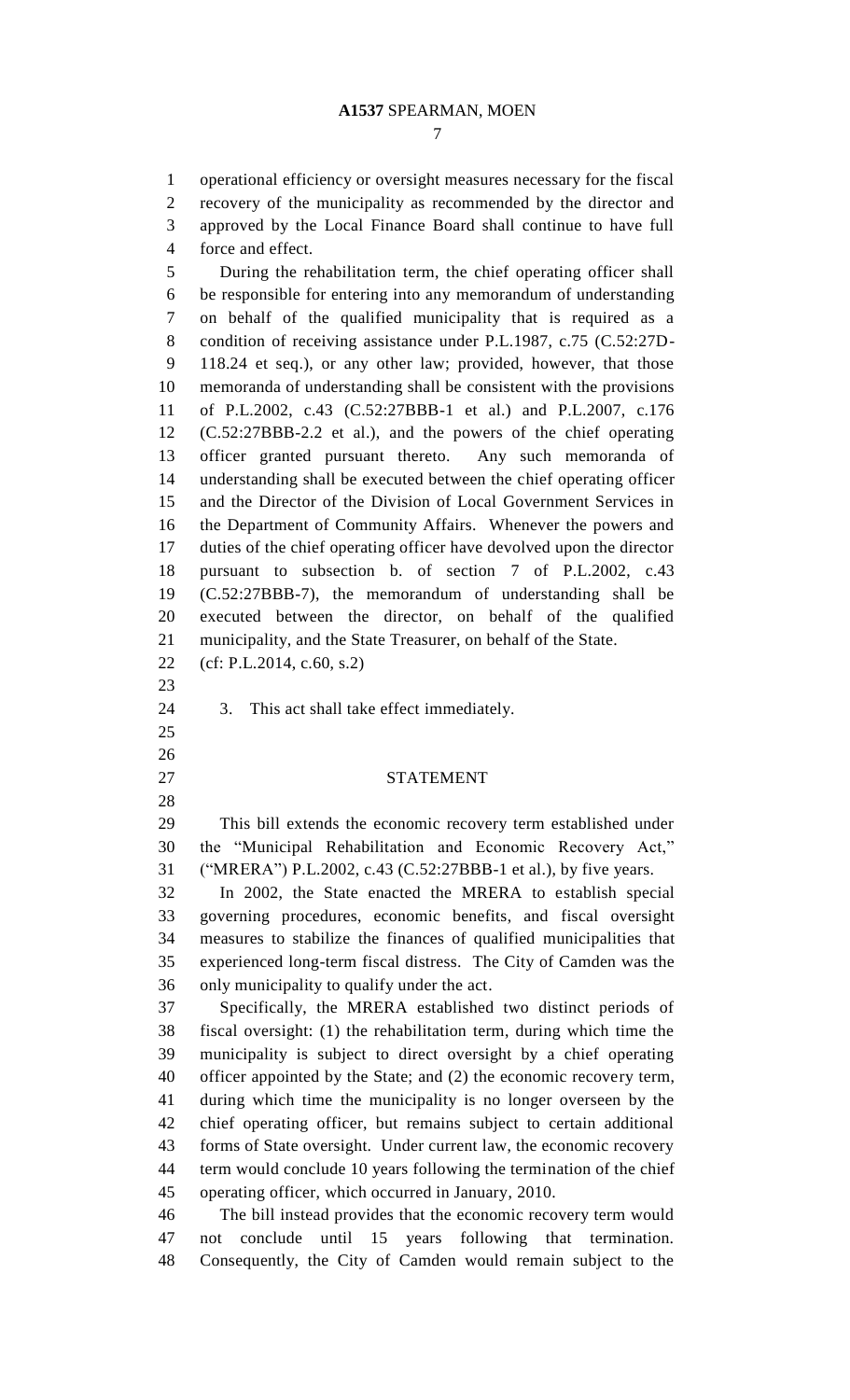operational efficiency or oversight measures necessary for the fiscal recovery of the municipality as recommended by the director and approved by the Local Finance Board shall continue to have full force and effect. During the rehabilitation term, the chief operating officer shall be responsible for entering into any memorandum of understanding on behalf of the qualified municipality that is required as a condition of receiving assistance under P.L.1987, c.75 (C.52:27D- 118.24 et seq.), or any other law; provided, however, that those memoranda of understanding shall be consistent with the provisions of P.L.2002, c.43 (C.52:27BBB-1 et al.) and P.L.2007, c.176 (C.52:27BBB-2.2 et al.), and the powers of the chief operating officer granted pursuant thereto. Any such memoranda of understanding shall be executed between the chief operating officer and the Director of the Division of Local Government Services in the Department of Community Affairs. Whenever the powers and duties of the chief operating officer have devolved upon the director pursuant to subsection b. of section 7 of P.L.2002, c.43 (C.52:27BBB-7), the memorandum of understanding shall be executed between the director, on behalf of the qualified municipality, and the State Treasurer, on behalf of the State. (cf: P.L.2014, c.60, s.2) 3. This act shall take effect immediately. STATEMENT This bill extends the economic recovery term established under the "Municipal Rehabilitation and Economic Recovery Act," ("MRERA") P.L.2002, c.43 (C.52:27BBB-1 et al.), by five years. In 2002, the State enacted the MRERA to establish special governing procedures, economic benefits, and fiscal oversight measures to stabilize the finances of qualified municipalities that experienced long-term fiscal distress. The City of Camden was the only municipality to qualify under the act. Specifically, the MRERA established two distinct periods of fiscal oversight: (1) the rehabilitation term, during which time the municipality is subject to direct oversight by a chief operating officer appointed by the State; and (2) the economic recovery term, during which time the municipality is no longer overseen by the chief operating officer, but remains subject to certain additional forms of State oversight. Under current law, the economic recovery term would conclude 10 years following the termination of the chief operating officer, which occurred in January, 2010. The bill instead provides that the economic recovery term would not conclude until 15 years following that termination. Consequently, the City of Camden would remain subject to the